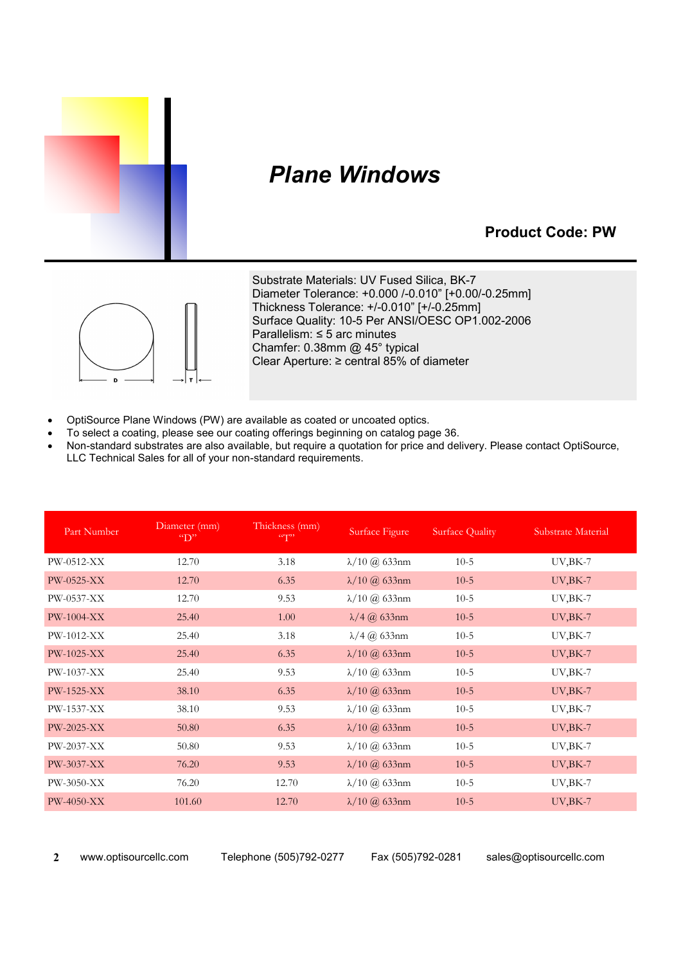

## *Plane Windows*

### **Product Code: PW**



Substrate Materials: UV Fused Silica, BK-7 Diameter Tolerance: +0.000 /-0.010" [+0.00/-0.25mm] Thickness Tolerance: +/-0.010" [+/-0.25mm] Surface Quality: 10-5 Per ANSI/OESC OP1.002-2006 Parallelism:  $≤$  5 arc minutes Chamfer: 0.38mm @ 45° typical Clear Aperture: ≥ central 85% of diameter

- OptiSource Plane Windows (PW) are available as coated or uncoated optics.
- To select a coating, please see our coating offerings beginning on catalog page 36.
- x Non-standard substrates are also available, but require a quotation for price and delivery. Please contact OptiSource, LLC Technical Sales for all of your non-standard requirements.

| Part Number  | Diameter (mm)<br>$\mathrm{``}D\mathrm{''}$ | Thickness (mm)<br>$\llbracket \cdots \rrbracket$ | Surface Figure                  | <b>Surface Quality</b> | Substrate Material |
|--------------|--------------------------------------------|--------------------------------------------------|---------------------------------|------------------------|--------------------|
| $PW-0512-XX$ | 12.70                                      | 3.18                                             | $\lambda/10$ @ 633nm            | $10-5$                 | $UV,BK-7$          |
| PW-0525-XX   | 12.70                                      | 6.35                                             | $\lambda/10$ ( <i>a</i> ) 633nm | $10-5$                 | $UV,BK-7$          |
| $PW-0537-XX$ | 12.70                                      | 9.53                                             | $\lambda/10$ ( <i>a</i> ) 633nm | $10-5$                 | $UV,BK-7$          |
| $PW-1004-XX$ | 25.40                                      | 1.00                                             | $\lambda/4$ (a) 633nm           | $10-5$                 | $UV,BK-7$          |
| PW-1012-XX   | 25.40                                      | 3.18                                             | $\lambda/4$ (a) 633nm           | $10-5$                 | $UV,BK-7$          |
| PW-1025-XX   | 25.40                                      | 6.35                                             | $\lambda/10$ ( <i>a</i> ) 633nm | $10-5$                 | $UV,BK-7$          |
| $PW-1037-XX$ | 25.40                                      | 9.53                                             | $\lambda/10$ ( <i>a</i> ) 633nm | $10-5$                 | $UV,BK-7$          |
| PW-1525-XX   | 38.10                                      | 6.35                                             | $\lambda/10$ ( <i>a</i> ) 633nm | $10-5$                 | $UV,BK-7$          |
| PW-1537-XX   | 38.10                                      | 9.53                                             | $\lambda/10$ ( <i>a</i> ) 633nm | $10-5$                 | $UV,BK-7$          |
| $PW-2025-XX$ | 50.80                                      | 6.35                                             | $\lambda/10$ ( <i>a</i> ) 633nm | $10-5$                 | $UV,BK-7$          |
| $PW-2037-XX$ | 50.80                                      | 9.53                                             | $\lambda/10$ ( <i>a</i> ) 633nm | $10-5$                 | $UV,BK-7$          |
| PW-3037-XX   | 76.20                                      | 9.53                                             | $\lambda/10$ ( <i>a</i> ) 633nm | $10-5$                 | $UV$ , $BK$ -7     |
| $PW-3050-XX$ | 76.20                                      | 12.70                                            | $\lambda/10$ @ 633nm            | $10-5$                 | $UV,BK-7$          |
| $PW-4050-XX$ | 101.60                                     | 12.70                                            | $\lambda/10$ ( <i>a</i> ) 633nm | $10-5$                 | $UV$ , $BK$ -7     |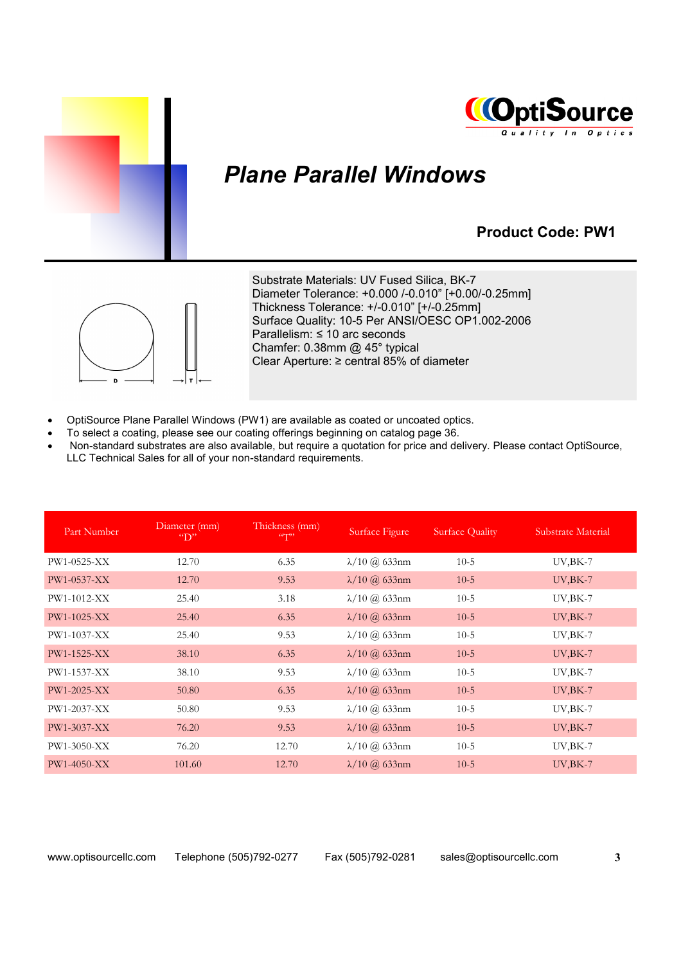



## *Plane Parallel Windows*

### **Product Code: PW1**



Substrate Materials: UV Fused Silica, BK-7 Diameter Tolerance: +0.000 /-0.010" [+0.00/-0.25mm] Thickness Tolerance: +/-0.010" [+/-0.25mm] Surface Quality: 10-5 Per ANSI/OESC OP1.002-2006 Parallelism: ≤ 10 arc seconds Chamfer: 0.38mm @ 45° typical Clear Aperture: ≥ central 85% of diameter

- OptiSource Plane Parallel Windows (PW1) are available as coated or uncoated optics.
- To select a coating, please see our coating offerings beginning on catalog page 36.
- x Non-standard substrates are also available, but require a quotation for price and delivery. Please contact OptiSource, LLC Technical Sales for all of your non-standard requirements.

| Part Number   | Diameter (mm)<br>$\mathrm{``}D\mathrm{''}$ | Thickness (mm)<br>$\lq \lq \lq \lq \lq \lq$ | Surface Figure                  | <b>Surface Quality</b> | Substrate Material |
|---------------|--------------------------------------------|---------------------------------------------|---------------------------------|------------------------|--------------------|
| $PW1-0525-XX$ | 12.70                                      | 6.35                                        | $\lambda/10$ @ 633nm            | $10-5$                 | $UV,BK-7$          |
| $PW1-0537-XX$ | 12.70                                      | 9.53                                        | $\lambda/10$ ( <i>a</i> ) 633nm | $10-5$                 | $UV,BK-7$          |
| PW1-1012-XX   | 25.40                                      | 3.18                                        | $\lambda/10$ (a) 633nm          | $10-5$                 | $UV$ , $BK$ -7     |
| $PW1-1025-XX$ | 25.40                                      | 6.35                                        | $\lambda/10$ ( <i>a</i> ) 633nm | $10-5$                 | $UV$ , $BK$ -7     |
| PW1-1037-XX   | 25.40                                      | 9.53                                        | $\lambda/10$ ( <i>a</i> ) 633nm | $10-5$                 | $UV$ , $BK$ -7     |
| PW1-1525-XX   | 38.10                                      | 6.35                                        | $\lambda/10$ ( <i>a</i> ) 633nm | $10-5$                 | $UV$ , $BK$ -7     |
| PW1-1537-XX   | 38.10                                      | 9.53                                        | $\lambda/10$ ( <i>a</i> ) 633nm | $10-5$                 | $UV,BK-7$          |
| PW1-2025-XX   | 50.80                                      | 6.35                                        | $\lambda/10$ ( <i>a</i> ) 633nm | $10-5$                 | $UV$ , $BK$ -7     |
| PW1-2037-XX   | 50.80                                      | 9.53                                        | $\lambda/10$ ( <i>a</i> ) 633nm | $10-5$                 | $UV$ , $BK$ -7     |
| $PW1-3037-XX$ | 76.20                                      | 9.53                                        | $\lambda/10$ ( <i>a</i> ) 633nm | $10-5$                 | $UV,BK-7$          |
| $PW1-3050-XX$ | 76.20                                      | 12.70                                       | $\lambda/10$ ( <i>a</i> ) 633nm | $10-5$                 | $UV$ , $BK$ -7     |
| $PW1-4050-XX$ | 101.60                                     | 12.70                                       | $\lambda/10$ ( <i>a</i> ) 633nm | $10-5$                 | $UV$ , $BK$ -7     |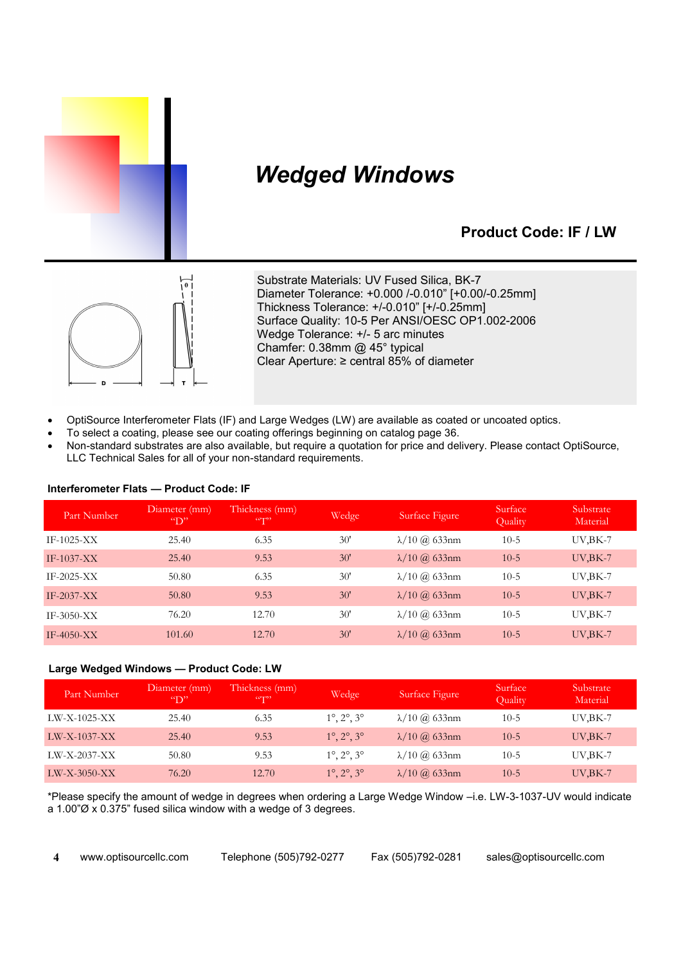

# *Wedged Windows*

### **Product Code: IF / LW**



Substrate Materials: UV Fused Silica, BK-7 Diameter Tolerance: +0.000 /-0.010" [+0.00/-0.25mm] Thickness Tolerance: +/-0.010" [+/-0.25mm] Surface Quality: 10-5 Per ANSI/OESC OP1.002-2006 Wedge Tolerance: +/- 5 arc minutes Chamfer: 0.38mm @ 45° typical Clear Aperture: ≥ central 85% of diameter

- OptiSource Interferometer Flats (IF) and Large Wedges (LW) are available as coated or uncoated optics.
- To select a coating, please see our coating offerings beginning on catalog page 36.
- x Non-standard substrates are also available, but require a quotation for price and delivery. Please contact OptiSource, LLC Technical Sales for all of your non-standard requirements.

| Part Number   | Diameter (mm)<br>$\rm{``D''}$ | Thickness (mm)<br>$\mathcal{C}$ | Wedge | Surface Figure                  | Surface<br><b>Quality</b> | Substrate<br>Material |
|---------------|-------------------------------|---------------------------------|-------|---------------------------------|---------------------------|-----------------------|
| $IF-1025-XX$  | 25.40                         | 6.35                            | 30'   | $\lambda/10$ (a) 633nm          | $10-5$                    | $UV$ , $BK$ -7        |
| $IF-1037-XX$  | 25.40                         | 9.53                            | 30'   | $\lambda/10$ @ 633nm            | $10-5$                    | $UV$ , $BK$ -7        |
| $IF-2025-XX$  | 50.80                         | 6.35                            | 30'   | $\lambda/10$ ( <i>a</i> ) 633nm | $10-5$                    | $UV$ , $BK$ -7        |
| IF-2037- $XX$ | 50.80                         | 9.53                            | 30'   | $\lambda/10$ ( <i>a</i> ) 633nm | $10-5$                    | $UV$ , $BK$ -7        |
| $IF-3050-XX$  | 76.20                         | 12.70                           | 30'   | $\lambda/10$ ( <i>a</i> ) 633nm | $10-5$                    | $UV$ , $BK$ -7        |
| IF-4050- $XX$ | 101.60                        | 12.70                           | 30'   | $\lambda/10$ ( <i>a</i> ) 633nm | $10-5$                    | $UV$ , $BK$ -7        |

#### **Interferometer Flats — Product Code: IF**

#### **Large Wedged Windows — Product Code: LW**

| Part Number    | Diameter (mm)<br>$\text{``}D\text{''}$ | Thickness (mm)<br>$\langle \langle \cdot   \cdot \rangle \rangle$ | Wedge                                   | Surface Figure                  | Surface<br>Quality | Substrate<br>Material |
|----------------|----------------------------------------|-------------------------------------------------------------------|-----------------------------------------|---------------------------------|--------------------|-----------------------|
| $LW-X-1025-XX$ | 25.40                                  | 6.35                                                              | $1^{\circ}, 2^{\circ}, 3^{\circ}$       | $\lambda/10$ ( <i>a</i> ) 633nm | $10-5$             | UV, BK-7              |
| $LW-X-1037-XX$ | 25.40                                  | 9.53                                                              | $1^{\circ}, 2^{\circ}, 3^{\circ}$       | $\lambda/10$ ( <i>a</i> ) 633nm | $10-5$             | $UV$ , BK-7           |
| LW-X-2037-XX   | 50.80                                  | 9.53                                                              | $1^{\circ}$ , $2^{\circ}$ , $3^{\circ}$ | $\lambda/10$ ( <i>a</i> ) 633nm | $10-5$             | UV, BK-7              |
| $LW-X-3050-XX$ | 76.20                                  | 12.70                                                             | $1^{\circ}, 2^{\circ}, 3^{\circ}$       | $\lambda/10$ ( <i>a</i> ) 633nm | $10-5$             | $UV$ , $BK$ -7        |

\*Please specify the amount of wedge in degrees when ordering a Large Wedge Window –i.e. LW-3-1037-UV would indicate a 1.00"Ø x 0.375" fused silica window with a wedge of 3 degrees.